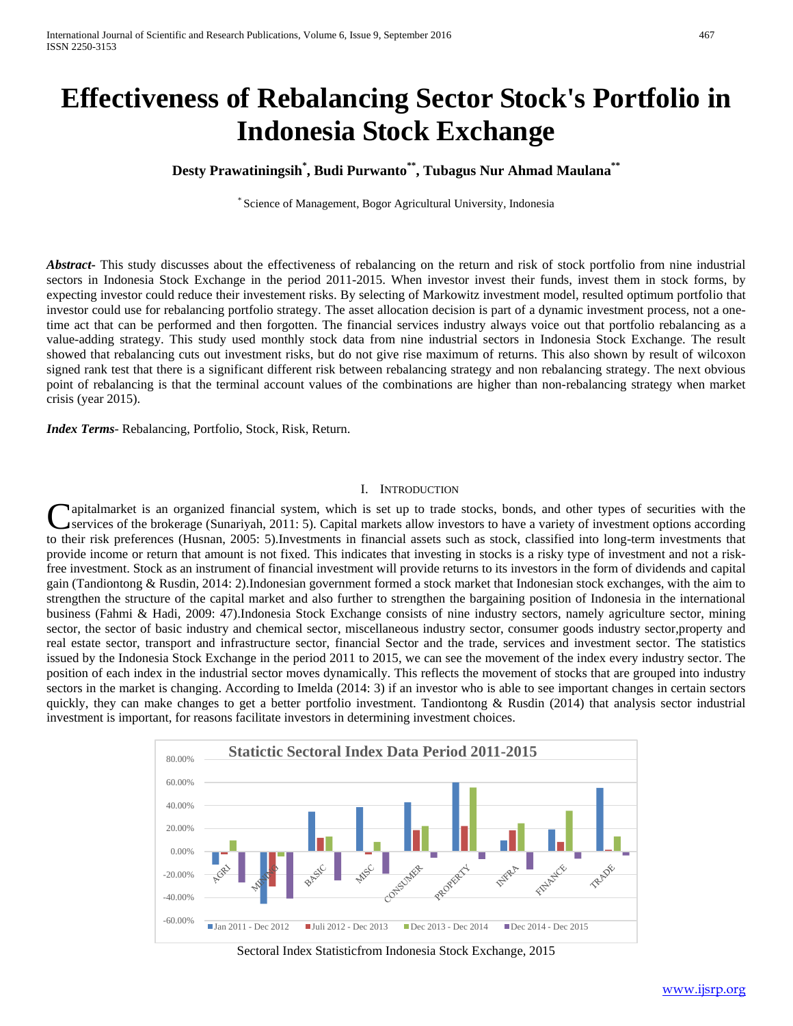# **Effectiveness of Rebalancing Sector Stock's Portfolio in Indonesia Stock Exchange**

# **Desty Prawatiningsih\* , Budi Purwanto\*\*, Tubagus Nur Ahmad Maulana\*\***

\* Science of Management, Bogor Agricultural University, Indonesia

*Abstract***-** This study discusses about the effectiveness of rebalancing on the return and risk of stock portfolio from nine industrial sectors in Indonesia Stock Exchange in the period 2011-2015. When investor invest their funds, invest them in stock forms, by expecting investor could reduce their investement risks. By selecting of Markowitz investment model, resulted optimum portfolio that investor could use for rebalancing portfolio strategy. The asset allocation decision is part of a dynamic investment process, not a onetime act that can be performed and then forgotten. The financial services industry always voice out that portfolio rebalancing as a value-adding strategy. This study used monthly stock data from nine industrial sectors in Indonesia Stock Exchange. The result showed that rebalancing cuts out investment risks, but do not give rise maximum of returns. This also shown by result of wilcoxon signed rank test that there is a significant different risk between rebalancing strategy and non rebalancing strategy. The next obvious point of rebalancing is that the terminal account values of the combinations are higher than non-rebalancing strategy when market crisis (year 2015).

*Index Terms*- Rebalancing, Portfolio, Stock, Risk, Return.

#### I. INTRODUCTION

apitalmarket is an organized financial system, which is set up to trade stocks, bonds, and other types of securities with the services of the brokerage (Sunariyah, 2011: 5). Capital markets allow investors to have a variety of investment options according Capitalmarket is an organized financial system, which is set up to trade stocks, bonds, and other types of securities with the services of the brokerage (Sunariyah, 2011: 5). Capital markets allow investors to have a varie provide income or return that amount is not fixed. This indicates that investing in stocks is a risky type of investment and not a riskfree investment. Stock as an instrument of financial investment will provide returns to its investors in the form of dividends and capital gain (Tandiontong & Rusdin, 2014: 2).Indonesian government formed a stock market that Indonesian stock exchanges, with the aim to strengthen the structure of the capital market and also further to strengthen the bargaining position of Indonesia in the international business (Fahmi & Hadi, 2009: 47).Indonesia Stock Exchange consists of nine industry sectors, namely agriculture sector, mining sector, the sector of basic industry and chemical sector, miscellaneous industry sector, consumer goods industry sector,property and real estate sector, transport and infrastructure sector, financial Sector and the trade, services and investment sector. The statistics issued by the Indonesia Stock Exchange in the period 2011 to 2015, we can see the movement of the index every industry sector. The position of each index in the industrial sector moves dynamically. This reflects the movement of stocks that are grouped into industry sectors in the market is changing. According to Imelda (2014: 3) if an investor who is able to see important changes in certain sectors quickly, they can make changes to get a better portfolio investment. Tandiontong & Rusdin (2014) that analysis sector industrial investment is important, for reasons facilitate investors in determining investment choices.



Sectoral Index Statisticfrom Indonesia Stock Exchange, 2015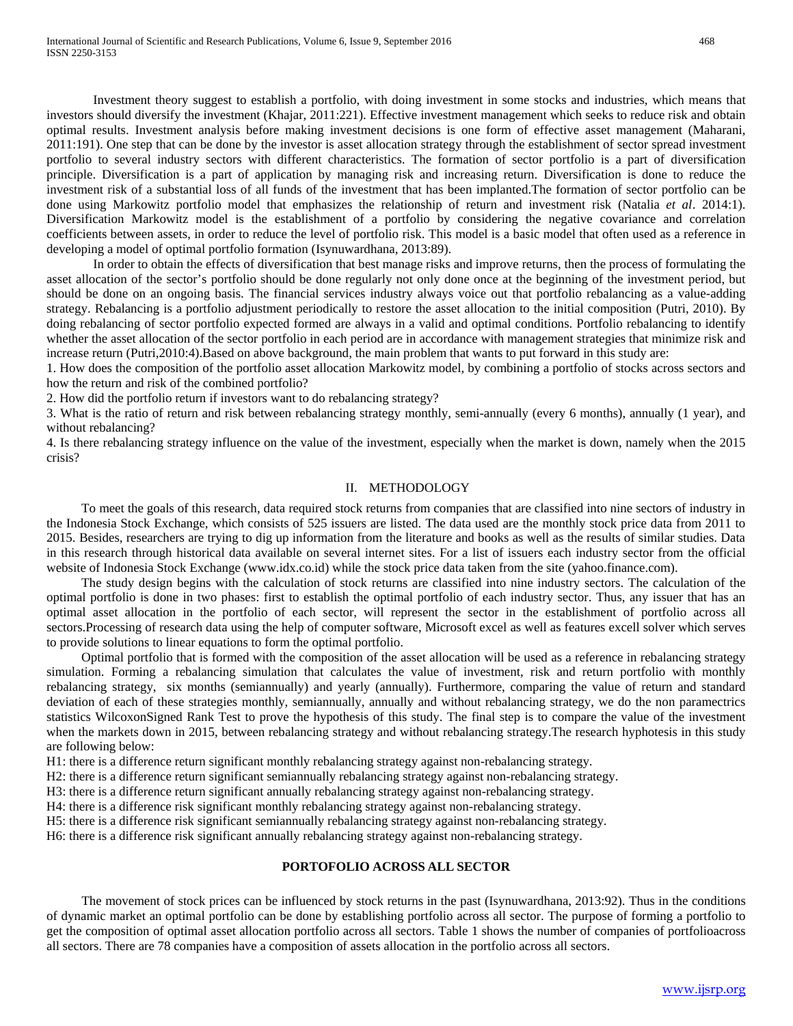Investment theory suggest to establish a portfolio, with doing investment in some stocks and industries, which means that investors should diversify the investment (Khajar, 2011:221). Effective investment management which seeks to reduce risk and obtain optimal results. Investment analysis before making investment decisions is one form of effective asset management (Maharani, 2011:191). One step that can be done by the investor is asset allocation strategy through the establishment of sector spread investment portfolio to several industry sectors with different characteristics. The formation of sector portfolio is a part of diversification principle. Diversification is a part of application by managing risk and increasing return. Diversification is done to reduce the investment risk of a substantial loss of all funds of the investment that has been implanted.The formation of sector portfolio can be done using Markowitz portfolio model that emphasizes the relationship of return and investment risk (Natalia *et al*. 2014:1). Diversification Markowitz model is the establishment of a portfolio by considering the negative covariance and correlation coefficients between assets, in order to reduce the level of portfolio risk. This model is a basic model that often used as a reference in developing a model of optimal portfolio formation (Isynuwardhana, 2013:89).

In order to obtain the effects of diversification that best manage risks and improve returns, then the process of formulating the asset allocation of the sector's portfolio should be done regularly not only done once at the beginning of the investment period, but should be done on an ongoing basis. The financial services industry always voice out that portfolio rebalancing as a value-adding strategy. Rebalancing is a portfolio adjustment periodically to restore the asset allocation to the initial composition (Putri, 2010). By doing rebalancing of sector portfolio expected formed are always in a valid and optimal conditions. Portfolio rebalancing to identify whether the asset allocation of the sector portfolio in each period are in accordance with management strategies that minimize risk and increase return (Putri,2010:4).Based on above background, the main problem that wants to put forward in this study are:

1. How does the composition of the portfolio asset allocation Markowitz model, by combining a portfolio of stocks across sectors and how the return and risk of the combined portfolio?

2. How did the portfolio return if investors want to do rebalancing strategy?

3. What is the ratio of return and risk between rebalancing strategy monthly, semi-annually (every 6 months), annually (1 year), and without rebalancing?

4. Is there rebalancing strategy influence on the value of the investment, especially when the market is down, namely when the 2015 crisis?

#### II. METHODOLOGY

To meet the goals of this research, data required stock returns from companies that are classified into nine sectors of industry in the Indonesia Stock Exchange, which consists of 525 issuers are listed. The data used are the monthly stock price data from 2011 to 2015. Besides, researchers are trying to dig up information from the literature and books as well as the results of similar studies. Data in this research through historical data available on several internet sites. For a list of issuers each industry sector from the official website of Indonesia Stock Exchange (www.idx.co.id) while the stock price data taken from the site (yahoo.finance.com).

The study design begins with the calculation of stock returns are classified into nine industry sectors. The calculation of the optimal portfolio is done in two phases: first to establish the optimal portfolio of each industry sector. Thus, any issuer that has an optimal asset allocation in the portfolio of each sector, will represent the sector in the establishment of portfolio across all sectors.Processing of research data using the help of computer software, Microsoft excel as well as features excell solver which serves to provide solutions to linear equations to form the optimal portfolio.

Optimal portfolio that is formed with the composition of the asset allocation will be used as a reference in rebalancing strategy simulation. Forming a rebalancing simulation that calculates the value of investment, risk and return portfolio with monthly rebalancing strategy, six months (semiannually) and yearly (annually). Furthermore, comparing the value of return and standard deviation of each of these strategies monthly, semiannually, annually and without rebalancing strategy, we do the non paramectrics statistics WilcoxonSigned Rank Test to prove the hypothesis of this study. The final step is to compare the value of the investment when the markets down in 2015, between rebalancing strategy and without rebalancing strategy. The research hyphotesis in this study are following below:

H1: there is a difference return significant monthly rebalancing strategy against non-rebalancing strategy.

H2: there is a difference return significant semiannually rebalancing strategy against non-rebalancing strategy.

H3: there is a difference return significant annually rebalancing strategy against non-rebalancing strategy.

H4: there is a difference risk significant monthly rebalancing strategy against non-rebalancing strategy.

H5: there is a difference risk significant semiannually rebalancing strategy against non-rebalancing strategy.

H6: there is a difference risk significant annually rebalancing strategy against non-rebalancing strategy.

## **PORTOFOLIO ACROSS ALL SECTOR**

The movement of stock prices can be influenced by stock returns in the past (Isynuwardhana, 2013:92). Thus in the conditions of dynamic market an optimal portfolio can be done by establishing portfolio across all sector. The purpose of forming a portfolio to get the composition of optimal asset allocation portfolio across all sectors. Table 1 shows the number of companies of portfolioacross all sectors. There are 78 companies have a composition of assets allocation in the portfolio across all sectors.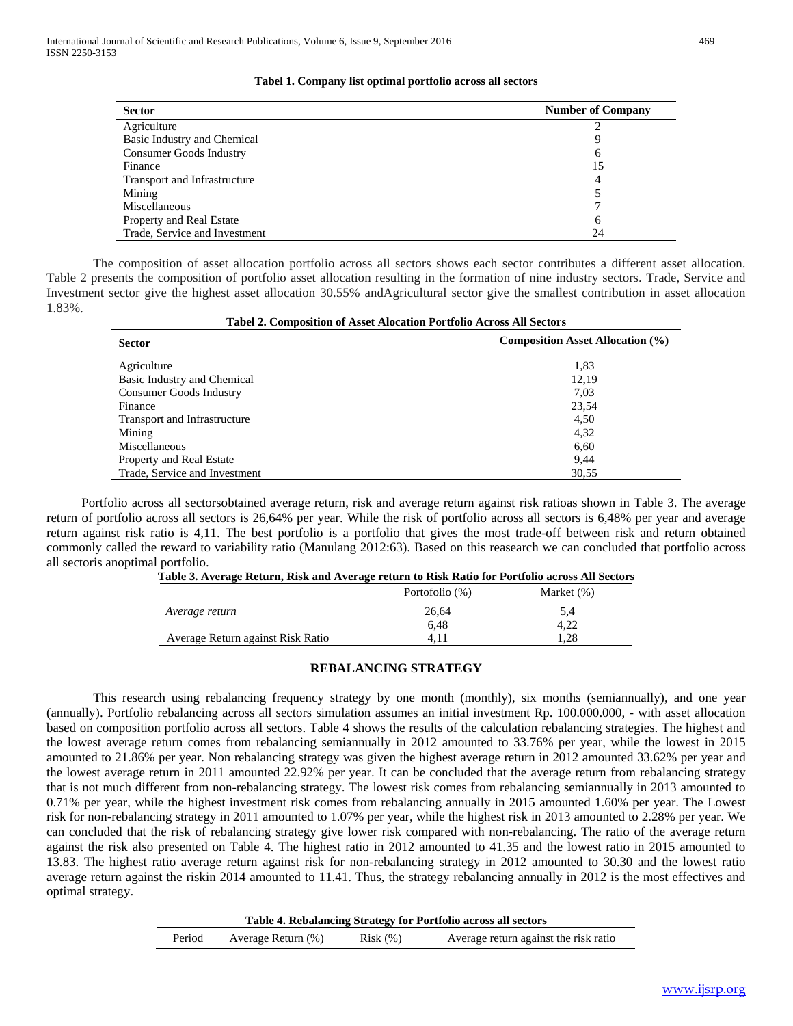| <b>Sector</b>                  | <b>Number of Company</b> |
|--------------------------------|--------------------------|
| Agriculture                    |                          |
| Basic Industry and Chemical    | Q                        |
| <b>Consumer Goods Industry</b> | 6                        |
| Finance                        | 15                       |
| Transport and Infrastructure   | 4                        |
| Mining                         |                          |
| Miscellaneous                  |                          |
| Property and Real Estate       | 6                        |
| Trade, Service and Investment  | 24                       |

#### **Tabel 1. Company list optimal portfolio across all sectors**

The composition of asset allocation portfolio across all sectors shows each sector contributes a different asset allocation. Table 2 presents the composition of portfolio asset allocation resulting in the formation of nine industry sectors. Trade, Service and Investment sector give the highest asset allocation 30.55% andAgricultural sector give the smallest contribution in asset allocation 1.83%. **Tabel 2. Composition of Asset Alocation Portfolio Across All Sectors**

| Tabel 2. Composition of Asset Alocation Fortiono Across All Sectors |                                         |  |  |
|---------------------------------------------------------------------|-----------------------------------------|--|--|
| <b>Sector</b>                                                       | <b>Composition Asset Allocation (%)</b> |  |  |
| Agriculture                                                         | 1,83                                    |  |  |
| Basic Industry and Chemical                                         | 12,19                                   |  |  |
| Consumer Goods Industry                                             | 7,03                                    |  |  |
| Finance                                                             | 23,54                                   |  |  |
| Transport and Infrastructure                                        | 4,50                                    |  |  |
| Mining                                                              | 4,32                                    |  |  |
| Miscellaneous                                                       | 6,60                                    |  |  |
| Property and Real Estate                                            | 9,44                                    |  |  |
| Trade, Service and Investment                                       | 30,55                                   |  |  |

Portfolio across all sectorsobtained average return, risk and average return against risk ratioas shown in Table 3. The average return of portfolio across all sectors is 26,64% per year. While the risk of portfolio across all sectors is 6,48% per year and average return against risk ratio is 4,11. The best portfolio is a portfolio that gives the most trade-off between risk and return obtained commonly called the reward to variability ratio (Manulang 2012:63). Based on this reasearch we can concluded that portfolio across all sectoris anoptimal portfolio.

| Table 5. Average Return, Risk and Average Feturn to Risk Ratio for F ortfolio across All bectors |                |               |  |
|--------------------------------------------------------------------------------------------------|----------------|---------------|--|
|                                                                                                  | Portofolio (%) | Market $(\%)$ |  |
| Average return                                                                                   | 26.64          | 5,4           |  |
|                                                                                                  | 6.48           | 4.22          |  |
| Average Return against Risk Ratio                                                                | 4. I           | .28           |  |

**Table 3. Average Return, Risk and Average return to Risk Ratio for Portfolio across All Sectors**

#### **REBALANCING STRATEGY**

This research using rebalancing frequency strategy by one month (monthly), six months (semiannually), and one year (annually). Portfolio rebalancing across all sectors simulation assumes an initial investment Rp. 100.000.000, - with asset allocation based on composition portfolio across all sectors. Table 4 shows the results of the calculation rebalancing strategies. The highest and the lowest average return comes from rebalancing semiannually in 2012 amounted to 33.76% per year, while the lowest in 2015 amounted to 21.86% per year. Non rebalancing strategy was given the highest average return in 2012 amounted 33.62% per year and the lowest average return in 2011 amounted 22.92% per year. It can be concluded that the average return from rebalancing strategy that is not much different from non-rebalancing strategy. The lowest risk comes from rebalancing semiannually in 2013 amounted to 0.71% per year, while the highest investment risk comes from rebalancing annually in 2015 amounted 1.60% per year. The Lowest risk for non-rebalancing strategy in 2011 amounted to 1.07% per year, while the highest risk in 2013 amounted to 2.28% per year. We can concluded that the risk of rebalancing strategy give lower risk compared with non-rebalancing. The ratio of the average return against the risk also presented on Table 4. The highest ratio in 2012 amounted to 41.35 and the lowest ratio in 2015 amounted to 13.83. The highest ratio average return against risk for non-rebalancing strategy in 2012 amounted to 30.30 and the lowest ratio average return against the riskin 2014 amounted to 11.41. Thus, the strategy rebalancing annually in 2012 is the most effectives and optimal strategy.

|  |  | Table 4. Rebalancing Strategy for Portfolio across all sectors |  |
|--|--|----------------------------------------------------------------|--|
|  |  |                                                                |  |

Period Average Return (%) Risk (%) Average return against the risk ratio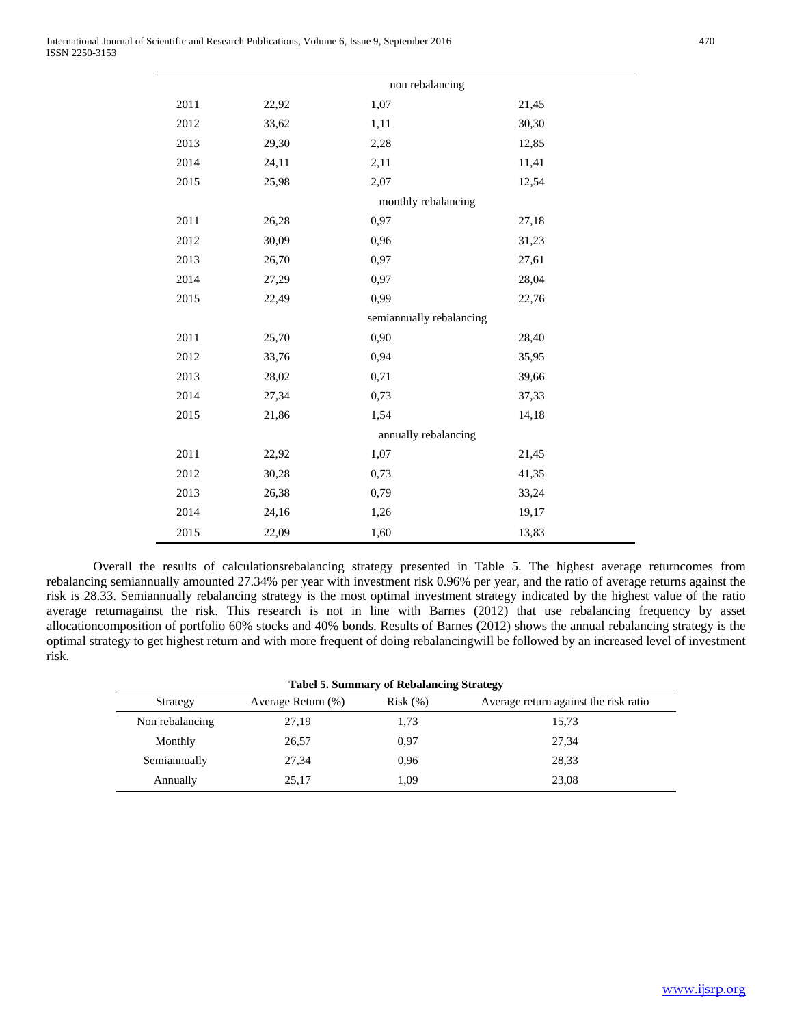|      |       | non rebalancing          |       |
|------|-------|--------------------------|-------|
| 2011 | 22,92 | 1,07                     | 21,45 |
| 2012 | 33,62 | 1,11                     | 30,30 |
| 2013 | 29,30 | 2,28                     | 12,85 |
| 2014 | 24,11 | 2,11                     | 11,41 |
| 2015 | 25,98 | 2,07                     | 12,54 |
|      |       | monthly rebalancing      |       |
| 2011 | 26,28 | 0,97                     | 27,18 |
| 2012 | 30,09 | 0,96                     | 31,23 |
| 2013 | 26,70 | 0,97                     | 27,61 |
| 2014 | 27,29 | 0,97                     | 28,04 |
| 2015 | 22,49 | 0,99                     | 22,76 |
|      |       | semiannually rebalancing |       |
| 2011 | 25,70 | 0,90                     | 28,40 |
| 2012 | 33,76 | 0,94                     | 35,95 |
| 2013 | 28,02 | 0,71                     | 39,66 |
| 2014 | 27,34 | 0,73                     | 37,33 |
| 2015 | 21,86 | 1,54                     | 14,18 |
|      |       | annually rebalancing     |       |
| 2011 | 22,92 | 1,07                     | 21,45 |
| 2012 | 30,28 | 0,73                     | 41,35 |
| 2013 | 26,38 | 0,79                     | 33,24 |
| 2014 | 24,16 | 1,26                     | 19,17 |
| 2015 | 22,09 | 1,60                     | 13,83 |

Overall the results of calculationsrebalancing strategy presented in Table 5. The highest average returncomes from rebalancing semiannually amounted 27.34% per year with investment risk 0.96% per year, and the ratio of average returns against the risk is 28.33. Semiannually rebalancing strategy is the most optimal investment strategy indicated by the highest value of the ratio average returnagainst the risk. This research is not in line with Barnes (2012) that use rebalancing frequency by asset allocationcomposition of portfolio 60% stocks and 40% bonds. Results of Barnes (2012) shows the annual rebalancing strategy is the optimal strategy to get highest return and with more frequent of doing rebalancingwill be followed by an increased level of investment risk.

| <b>Tabel 5. Summary of Rebalancing Strategy</b> |                    |         |                                       |
|-------------------------------------------------|--------------------|---------|---------------------------------------|
| Strategy                                        | Average Return (%) | Risk(%) | Average return against the risk ratio |
| Non rebalancing                                 | 27,19              | 1,73    | 15,73                                 |
| Monthly                                         | 26,57              | 0.97    | 27,34                                 |
| Semiannually                                    | 27,34              | 0.96    | 28,33                                 |
| Annually                                        | 25.17              | 1.09    | 23,08                                 |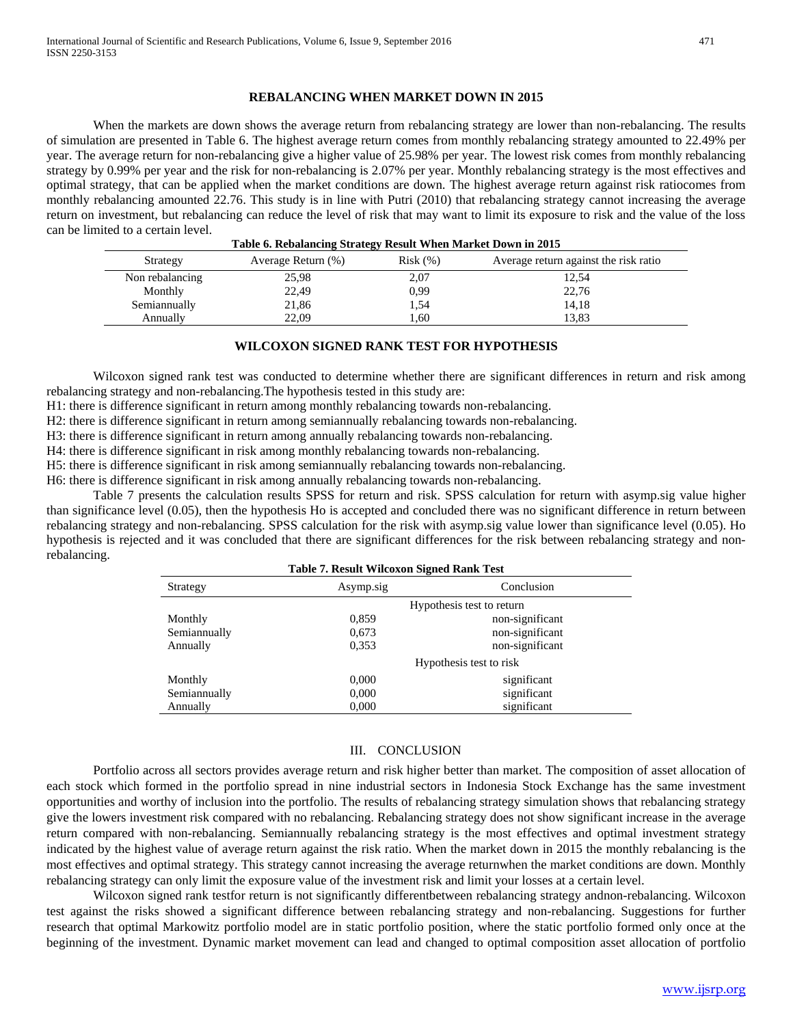#### **REBALANCING WHEN MARKET DOWN IN 2015**

When the markets are down shows the average return from rebalancing strategy are lower than non-rebalancing. The results of simulation are presented in Table 6. The highest average return comes from monthly rebalancing strategy amounted to 22.49% per year. The average return for non-rebalancing give a higher value of 25.98% per year. The lowest risk comes from monthly rebalancing strategy by 0.99% per year and the risk for non-rebalancing is 2.07% per year. Monthly rebalancing strategy is the most effectives and optimal strategy, that can be applied when the market conditions are down. The highest average return against risk ratiocomes from monthly rebalancing amounted 22.76. This study is in line with Putri (2010) that rebalancing strategy cannot increasing the average return on investment, but rebalancing can reduce the level of risk that may want to limit its exposure to risk and the value of the loss can be limited to a certain level. **Table 6. Rebalancing Strategy Result When Market Down in 2015**

| Table 6. Rebalancing Strategy Result When Market Down in 2015 |                    |         |                                       |
|---------------------------------------------------------------|--------------------|---------|---------------------------------------|
| Strategy                                                      | Average Return (%) | Risk(%) | Average return against the risk ratio |
| Non rebalancing                                               | 25,98              | 2,07    | 12,54                                 |
| Monthly                                                       | 22.49              | 0.99    | 22,76                                 |
| Semiannually                                                  | 21,86              | 1,54    | 14,18                                 |
| Annually                                                      | 22,09              | 1,60    | 13,83                                 |

# **WILCOXON SIGNED RANK TEST FOR HYPOTHESIS**

Wilcoxon signed rank test was conducted to determine whether there are significant differences in return and risk among rebalancing strategy and non-rebalancing.The hypothesis tested in this study are:

H1: there is difference significant in return among monthly rebalancing towards non-rebalancing.

H2: there is difference significant in return among semiannually rebalancing towards non-rebalancing.

H3: there is difference significant in return among annually rebalancing towards non-rebalancing.

H4: there is difference significant in risk among monthly rebalancing towards non-rebalancing.

H5: there is difference significant in risk among semiannually rebalancing towards non-rebalancing.

H6: there is difference significant in risk among annually rebalancing towards non-rebalancing.

Table 7 presents the calculation results SPSS for return and risk. SPSS calculation for return with asymp.sig value higher than significance level (0.05), then the hypothesis Ho is accepted and concluded there was no significant difference in return between rebalancing strategy and non-rebalancing. SPSS calculation for the risk with asymp.sig value lower than significance level (0.05). Ho hypothesis is rejected and it was concluded that there are significant differences for the risk between rebalancing strategy and nonrebalancing.

| <b>Table 7. Result Wilcoxon Signed Rank Test</b> |           |                           |  |
|--------------------------------------------------|-----------|---------------------------|--|
| Strategy                                         | Asymp.sig | Conclusion                |  |
|                                                  |           | Hypothesis test to return |  |
| Monthly                                          | 0,859     | non-significant           |  |
| Semiannually                                     | 0,673     | non-significant           |  |
| Annually                                         | 0,353     | non-significant           |  |
|                                                  |           | Hypothesis test to risk   |  |
| Monthly                                          | 0,000     | significant               |  |
| Semiannually                                     | 0,000     | significant               |  |
| Annually                                         | 0,000     | significant               |  |

## III. CONCLUSION

Portfolio across all sectors provides average return and risk higher better than market. The composition of asset allocation of each stock which formed in the portfolio spread in nine industrial sectors in Indonesia Stock Exchange has the same investment opportunities and worthy of inclusion into the portfolio. The results of rebalancing strategy simulation shows that rebalancing strategy give the lowers investment risk compared with no rebalancing. Rebalancing strategy does not show significant increase in the average return compared with non-rebalancing. Semiannually rebalancing strategy is the most effectives and optimal investment strategy indicated by the highest value of average return against the risk ratio. When the market down in 2015 the monthly rebalancing is the most effectives and optimal strategy. This strategy cannot increasing the average returnwhen the market conditions are down. Monthly rebalancing strategy can only limit the exposure value of the investment risk and limit your losses at a certain level.

Wilcoxon signed rank testfor return is not significantly differentbetween rebalancing strategy andnon-rebalancing. Wilcoxon test against the risks showed a significant difference between rebalancing strategy and non-rebalancing. Suggestions for further research that optimal Markowitz portfolio model are in static portfolio position, where the static portfolio formed only once at the beginning of the investment. Dynamic market movement can lead and changed to optimal composition asset allocation of portfolio